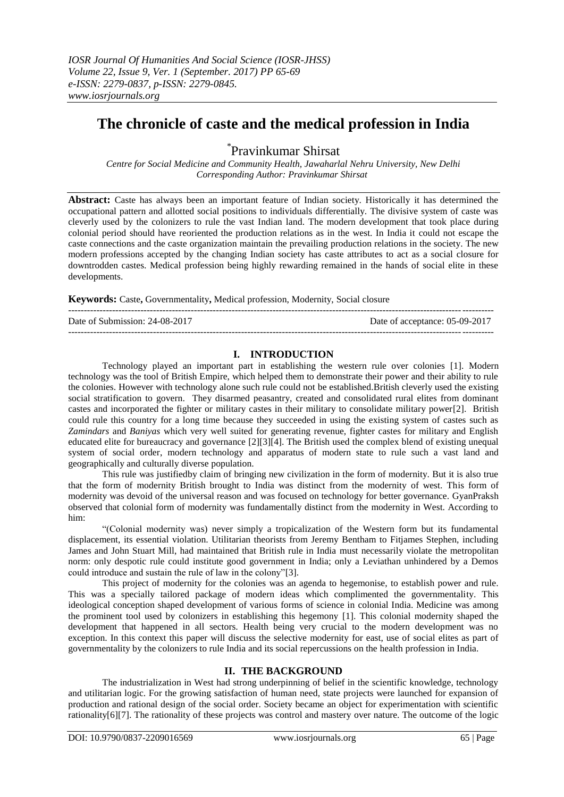# **The chronicle of caste and the medical profession in India**

\* Pravinkumar Shirsat

*Centre for Social Medicine and Community Health, Jawaharlal Nehru University, New Delhi Corresponding Author: Pravinkumar Shirsat*

**Abstract:** Caste has always been an important feature of Indian society. Historically it has determined the occupational pattern and allotted social positions to individuals differentially. The divisive system of caste was cleverly used by the colonizers to rule the vast Indian land. The modern development that took place during colonial period should have reoriented the production relations as in the west. In India it could not escape the caste connections and the caste organization maintain the prevailing production relations in the society. The new modern professions accepted by the changing Indian society has caste attributes to act as a social closure for downtrodden castes. Medical profession being highly rewarding remained in the hands of social elite in these developments.

**Keywords:** Caste**,** Governmentality**,** Medical profession, Modernity, Social closure

Date of Submission: 24-08-2017 Date of acceptance: 05-09-2017

# **I. INTRODUCTION**

Technology played an important part in establishing the western rule over colonies [1]. Modern technology was the tool of British Empire, which helped them to demonstrate their power and their ability to rule the colonies. However with technology alone such rule could not be established.British cleverly used the existing social stratification to govern. They disarmed peasantry, created and consolidated rural elites from dominant castes and incorporated the fighter or military castes in their military to consolidate military power[2]. British could rule this country for a long time because they succeeded in using the existing system of castes such as *Zamindars* and *Baniyas* which very well suited for generating revenue, fighter castes for military and English educated elite for bureaucracy and governance [2][3][4]. The British used the complex blend of existing unequal system of social order, modern technology and apparatus of modern state to rule such a vast land and geographically and culturally diverse population.

This rule was justifiedby claim of bringing new civilization in the form of modernity. But it is also true that the form of modernity British brought to India was distinct from the modernity of west. This form of modernity was devoid of the universal reason and was focused on technology for better governance. GyanPraksh observed that colonial form of modernity was fundamentally distinct from the modernity in West. According to him:

"(Colonial modernity was) never simply a tropicalization of the Western form but its fundamental displacement, its essential violation. Utilitarian theorists from Jeremy Bentham to Fitjames Stephen, including James and John Stuart Mill, had maintained that British rule in India must necessarily violate the metropolitan norm: only despotic rule could institute good government in India; only a Leviathan unhindered by a Demos could introduce and sustain the rule of law in the colony"[3].

This project of modernity for the colonies was an agenda to hegemonise, to establish power and rule. This was a specially tailored package of modern ideas which complimented the governmentality. This ideological conception shaped development of various forms of science in colonial India. Medicine was among the prominent tool used by colonizers in establishing this hegemony [1]. This colonial modernity shaped the development that happened in all sectors. Health being very crucial to the modern development was no exception. In this context this paper will discuss the selective modernity for east, use of social elites as part of governmentality by the colonizers to rule India and its social repercussions on the health profession in India.

### **II. THE BACKGROUND**

The industrialization in West had strong underpinning of belief in the scientific knowledge, technology and utilitarian logic. For the growing satisfaction of human need, state projects were launched for expansion of production and rational design of the social order. Society became an object for experimentation with scientific rationality[6][7]. The rationality of these projects was control and mastery over nature. The outcome of the logic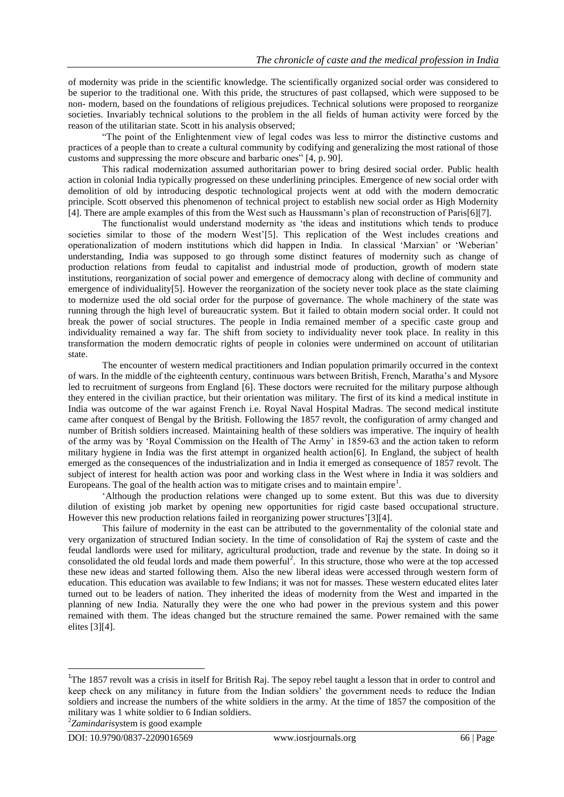of modernity was pride in the scientific knowledge. The scientifically organized social order was considered to be superior to the traditional one. With this pride, the structures of past collapsed, which were supposed to be non- modern, based on the foundations of religious prejudices. Technical solutions were proposed to reorganize societies. Invariably technical solutions to the problem in the all fields of human activity were forced by the reason of the utilitarian state. Scott in his analysis observed;

"The point of the Enlightenment view of legal codes was less to mirror the distinctive customs and practices of a people than to create a cultural community by codifying and generalizing the most rational of those customs and suppressing the more obscure and barbaric ones" [4, p. 90].

This radical modernization assumed authoritarian power to bring desired social order. Public health action in colonial India typically progressed on these underlining principles. Emergence of new social order with demolition of old by introducing despotic technological projects went at odd with the modern democratic principle. Scott observed this phenomenon of technical project to establish new social order as High Modernity [4]. There are ample examples of this from the West such as Haussmann's plan of reconstruction of Paris[6][7].

The functionalist would understand modernity as 'the ideas and institutions which tends to produce societies similar to those of the modern West'[5]. This replication of the West includes creations and operationalization of modern institutions which did happen in India. In classical 'Marxian' or 'Weberian' understanding, India was supposed to go through some distinct features of modernity such as change of production relations from feudal to capitalist and industrial mode of production, growth of modern state institutions, reorganization of social power and emergence of democracy along with decline of community and emergence of individuality[5]. However the reorganization of the society never took place as the state claiming to modernize used the old social order for the purpose of governance. The whole machinery of the state was running through the high level of bureaucratic system. But it failed to obtain modern social order. It could not break the power of social structures. The people in India remained member of a specific caste group and individuality remained a way far. The shift from society to individuality never took place. In reality in this transformation the modern democratic rights of people in colonies were undermined on account of utilitarian state.

The encounter of western medical practitioners and Indian population primarily occurred in the context of wars. In the middle of the eighteenth century, continuous wars between British, French, Maratha's and Mysore led to recruitment of surgeons from England [6]. These doctors were recruited for the military purpose although they entered in the civilian practice, but their orientation was military. The first of its kind a medical institute in India was outcome of the war against French i.e. Royal Naval Hospital Madras. The second medical institute came after conquest of Bengal by the British. Following the 1857 revolt, the configuration of army changed and number of British soldiers increased. Maintaining health of these soldiers was imperative. The inquiry of health of the army was by 'Royal Commission on the Health of The Army' in 1859-63 and the action taken to reform military hygiene in India was the first attempt in organized health action[6]. In England, the subject of health emerged as the consequences of the industrialization and in India it emerged as consequence of 1857 revolt. The subject of interest for health action was poor and working class in the West where in India it was soldiers and Europeans. The goal of the health action was to mitigate crises and to maintain empire<sup>1</sup>.

'Although the production relations were changed up to some extent. But this was due to diversity dilution of existing job market by opening new opportunities for rigid caste based occupational structure. However this new production relations failed in reorganizing power structures'[3][4].

This failure of modernity in the east can be attributed to the governmentality of the colonial state and very organization of structured Indian society. In the time of consolidation of Raj the system of caste and the feudal landlords were used for military, agricultural production, trade and revenue by the state. In doing so it consolidated the old feudal lords and made them powerful<sup>2</sup>. In this structure, those who were at the top accessed these new ideas and started following them. Also the new liberal ideas were accessed through western form of education. This education was available to few Indians; it was not for masses. These western educated elites later turned out to be leaders of nation. They inherited the ideas of modernity from the West and imparted in the planning of new India. Naturally they were the one who had power in the previous system and this power remained with them. The ideas changed but the structure remained the same. Power remained with the same elites [3][4].

1

<sup>&</sup>lt;sup>1</sup>The 1857 revolt was a crisis in itself for British Raj. The sepoy rebel taught a lesson that in order to control and keep check on any militancy in future from the Indian soldiers' the government needs to reduce the Indian soldiers and increase the numbers of the white soldiers in the army. At the time of 1857 the composition of the military was 1 white soldier to 6 Indian soldiers.

<sup>2</sup> *Zamindari*system is good example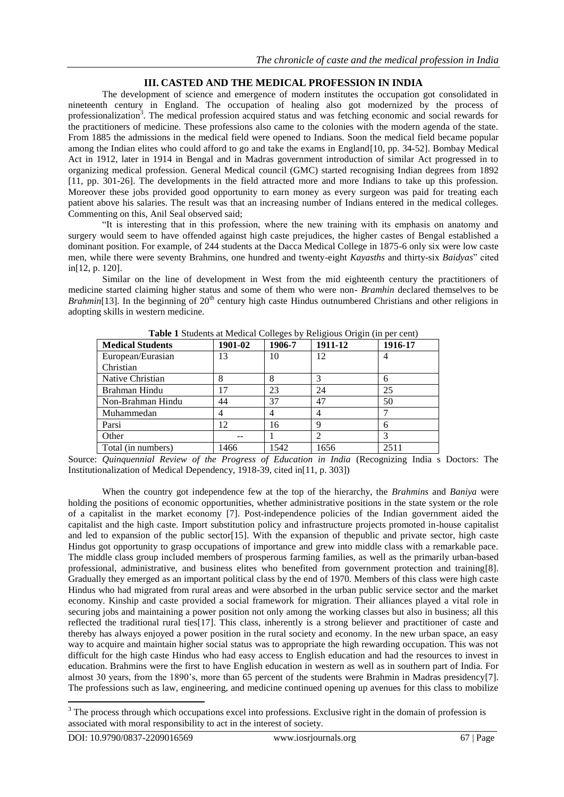## **III. CASTED AND THE MEDICAL PROFESSION IN INDIA**

The development of science and emergence of modern institutes the occupation got consolidated in nineteenth century in England. The occupation of healing also got modernized by the process of professionalization<sup>3</sup>. The medical profession acquired status and was fetching economic and social rewards for the practitioners of medicine. These professions also came to the colonies with the modern agenda of the state. From 1885 the admissions in the medical field were opened to Indians. Soon the medical field became popular among the Indian elites who could afford to go and take the exams in England[10, pp. 34-52]. Bombay Medical Act in 1912, later in 1914 in Bengal and in Madras government introduction of similar Act progressed in to organizing medical profession. General Medical council (GMC) started recognising Indian degrees from 1892 [11, pp. 301-26]. The developments in the field attracted more and more Indians to take up this profession. Moreover these jobs provided good opportunity to earn money as every surgeon was paid for treating each patient above his salaries. The result was that an increasing number of Indians entered in the medical colleges. Commenting on this, Anil Seal observed said;

"It is interesting that in this profession, where the new training with its emphasis on anatomy and surgery would seem to have offended against high caste prejudices, the higher castes of Bengal established a dominant position. For example, of 244 students at the Dacca Medical College in 1875-6 only six were low caste men, while there were seventy Brahmins, one hundred and twenty-eight *Kayasths* and thirty-six *Baidyas*" cited in[12, p. 120].

Similar on the line of development in West from the mid eighteenth century the practitioners of medicine started claiming higher status and some of them who were non- *Bramhin* declared themselves to be *Brahmin*[13]. In the beginning of 20<sup>th</sup> century high caste Hindus outnumbered Christians and other religions in adopting skills in western medicine.

| <b>Medical Students</b> | 1901-02 | 1906-7 | 1911-12 | 1916-17 |
|-------------------------|---------|--------|---------|---------|
| European/Eurasian       | 13      | 10     | 12      | 4       |
| Christian               |         |        |         |         |
| Native Christian        | 8       | 8      |         | 6       |
| Brahman Hindu           | 17      | 23     | 24      | 25      |
| Non-Brahman Hindu       | 44      | 37     | 47      | 50      |
| Muhammedan              |         | 4      | 4       |         |
| Parsi                   | 12      | 16     | 9       | 6       |
| Other                   |         |        |         | 3       |
| Total (in numbers)      | 1466    | 1542   | 1656    | 2511    |

**Table 1** Students at Medical Colleges by Religious Origin (in per cent)

Source: *Quinquennial Review of the Progress of Education in India* (Recognizing India s Doctors: The Institutionalization of Medical Dependency, 1918-39, cited in[11, p. 303])

When the country got independence few at the top of the hierarchy, the *Brahmins* and *Baniya* were holding the positions of economic opportunities, whether administrative positions in the state system or the role of a capitalist in the market economy [7]. Post-independence policies of the Indian government aided the capitalist and the high caste. Import substitution policy and infrastructure projects promoted in-house capitalist and led to expansion of the public sector[15]. With the expansion of thepublic and private sector, high caste Hindus got opportunity to grasp occupations of importance and grew into middle class with a remarkable pace. The middle class group included members of prosperous farming families, as well as the primarily urban-based professional, administrative, and business elites who benefited from government protection and training[8]. Gradually they emerged as an important political class by the end of 1970. Members of this class were high caste Hindus who had migrated from rural areas and were absorbed in the urban public service sector and the market economy. Kinship and caste provided a social framework for migration. Their alliances played a vital role in securing jobs and maintaining a power position not only among the working classes but also in business; all this reflected the traditional rural ties[17]. This class, inherently is a strong believer and practitioner of caste and thereby has always enjoyed a power position in the rural society and economy. In the new urban space, an easy way to acquire and maintain higher social status was to appropriate the high rewarding occupation. This was not difficult for the high caste Hindus who had easy access to English education and had the resources to invest in education. Brahmins were the first to have English education in western as well as in southern part of India. For almost 30 years, from the 1890's, more than 65 percent of the students were Brahmin in Madras presidency[7]. The professions such as law, engineering, and medicine continued opening up avenues for this class to mobilize

**.** 

 $3$  The process through which occupations excel into professions. Exclusive right in the domain of profession is associated with moral responsibility to act in the interest of society.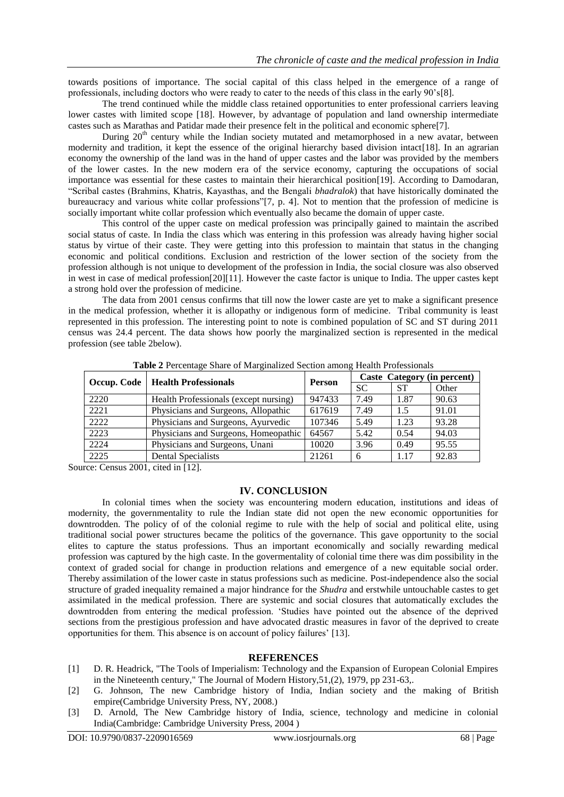towards positions of importance. The social capital of this class helped in the emergence of a range of professionals, including doctors who were ready to cater to the needs of this class in the early 90's[8].

The trend continued while the middle class retained opportunities to enter professional carriers leaving lower castes with limited scope [18]. However, by advantage of population and land ownership intermediate castes such as Marathas and Patidar made their presence felt in the political and economic sphere[7].

During  $20<sup>th</sup>$  century while the Indian society mutated and metamorphosed in a new avatar, between modernity and tradition, it kept the essence of the original hierarchy based division intact[18]. In an agrarian economy the ownership of the land was in the hand of upper castes and the labor was provided by the members of the lower castes. In the new modern era of the service economy, capturing the occupations of social importance was essential for these castes to maintain their hierarchical position[19]. According to Damodaran, "Scribal castes (Brahmins, Khatris, Kayasthas, and the Bengali *bhadralok*) that have historically dominated the bureaucracy and various white collar professions"[7, p. 4]. Not to mention that the profession of medicine is socially important white collar profession which eventually also became the domain of upper caste.

This control of the upper caste on medical profession was principally gained to maintain the ascribed social status of caste. In India the class which was entering in this profession was already having higher social status by virtue of their caste. They were getting into this profession to maintain that status in the changing economic and political conditions. Exclusion and restriction of the lower section of the society from the profession although is not unique to development of the profession in India, the social closure was also observed in west in case of medical profession[20][11]. However the caste factor is unique to India. The upper castes kept a strong hold over the profession of medicine.

The data from 2001 census confirms that till now the lower caste are yet to make a significant presence in the medical profession, whether it is allopathy or indigenous form of medicine. Tribal community is least represented in this profession. The interesting point to note is combined population of SC and ST during 2011 census was 24.4 percent. The data shows how poorly the marginalized section is represented in the medical profession (see table 2below).

|                                    |                                       | <b>Person</b> | Caste Category (in percent) |           |       |
|------------------------------------|---------------------------------------|---------------|-----------------------------|-----------|-------|
| Occup. Code   Health Professionals |                                       |               | <b>SC</b>                   | <b>ST</b> | Other |
| 2220                               | Health Professionals (except nursing) | 947433        | 7.49                        | 1.87      | 90.63 |
| 2221                               | Physicians and Surgeons, Allopathic   | 617619        | 7.49                        | 1.5       | 91.01 |
| 2222                               | Physicians and Surgeons, Ayurvedic    | 107346        | 5.49                        | 1.23      | 93.28 |
| 2223                               | Physicians and Surgeons, Homeopathic  | 64567         | 5.42                        | 0.54      | 94.03 |
| 2224                               | Physicians and Surgeons, Unani        | 10020         | 3.96                        | 0.49      | 95.55 |
| 2225                               | <b>Dental Specialists</b>             | 21261         | 6                           | 1.17      | 92.83 |

**Table 2** Percentage Share of Marginalized Section among Health Professionals

Source: Census 2001, cited in [12].

#### **IV. CONCLUSION**

In colonial times when the society was encountering modern education, institutions and ideas of modernity, the governmentality to rule the Indian state did not open the new economic opportunities for downtrodden. The policy of of the colonial regime to rule with the help of social and political elite, using traditional social power structures became the politics of the governance. This gave opportunity to the social elites to capture the status professions. Thus an important economically and socially rewarding medical profession was captured by the high caste. In the govermentality of colonial time there was dim possibility in the context of graded social for change in production relations and emergence of a new equitable social order. Thereby assimilation of the lower caste in status professions such as medicine. Post-independence also the social structure of graded inequality remained a major hindrance for the *Shudra* and erstwhile untouchable castes to get assimilated in the medical profession. There are systemic and social closures that automatically excludes the downtrodden from entering the medical profession. 'Studies have pointed out the absence of the deprived sections from the prestigious profession and have advocated drastic measures in favor of the deprived to create opportunities for them. This absence is on account of policy failures' [13].

#### **REFERENCES**

- [1] D. R. Headrick, "The Tools of Imperialism: Technology and the Expansion of European Colonial Empires in the Nineteenth century," The Journal of Modern History,51,(2), 1979, pp 231-63,.
- [2] G. Johnson, The new Cambridge history of India, Indian society and the making of British empire(Cambridge University Press, NY, 2008.)
- [3] D. Arnold, The New Cambridge history of India, science, technology and medicine in colonial India(Cambridge: Cambridge University Press, 2004 )